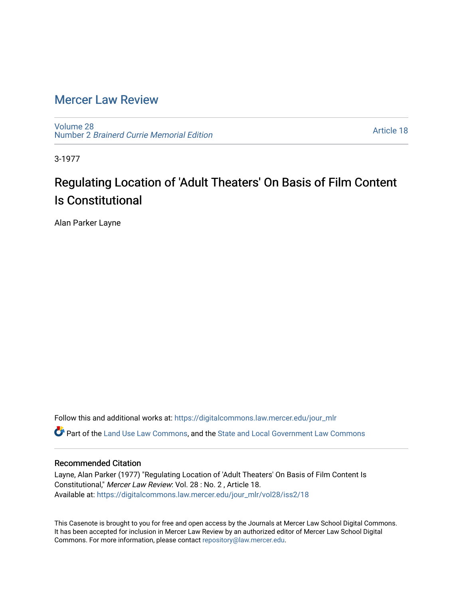## [Mercer Law Review](https://digitalcommons.law.mercer.edu/jour_mlr)

[Volume 28](https://digitalcommons.law.mercer.edu/jour_mlr/vol28) Number 2 [Brainerd Currie Memorial Edition](https://digitalcommons.law.mercer.edu/jour_mlr/vol28/iss2) 

[Article 18](https://digitalcommons.law.mercer.edu/jour_mlr/vol28/iss2/18) 

3-1977

## Regulating Location of 'Adult Theaters' On Basis of Film Content Is Constitutional

Alan Parker Layne

Follow this and additional works at: [https://digitalcommons.law.mercer.edu/jour\\_mlr](https://digitalcommons.law.mercer.edu/jour_mlr?utm_source=digitalcommons.law.mercer.edu%2Fjour_mlr%2Fvol28%2Fiss2%2F18&utm_medium=PDF&utm_campaign=PDFCoverPages)

Part of the [Land Use Law Commons](http://network.bepress.com/hgg/discipline/852?utm_source=digitalcommons.law.mercer.edu%2Fjour_mlr%2Fvol28%2Fiss2%2F18&utm_medium=PDF&utm_campaign=PDFCoverPages), and the [State and Local Government Law Commons](http://network.bepress.com/hgg/discipline/879?utm_source=digitalcommons.law.mercer.edu%2Fjour_mlr%2Fvol28%2Fiss2%2F18&utm_medium=PDF&utm_campaign=PDFCoverPages)

## Recommended Citation

Layne, Alan Parker (1977) "Regulating Location of 'Adult Theaters' On Basis of Film Content Is Constitutional," Mercer Law Review: Vol. 28 : No. 2 , Article 18. Available at: [https://digitalcommons.law.mercer.edu/jour\\_mlr/vol28/iss2/18](https://digitalcommons.law.mercer.edu/jour_mlr/vol28/iss2/18?utm_source=digitalcommons.law.mercer.edu%2Fjour_mlr%2Fvol28%2Fiss2%2F18&utm_medium=PDF&utm_campaign=PDFCoverPages) 

This Casenote is brought to you for free and open access by the Journals at Mercer Law School Digital Commons. It has been accepted for inclusion in Mercer Law Review by an authorized editor of Mercer Law School Digital Commons. For more information, please contact [repository@law.mercer.edu.](mailto:repository@law.mercer.edu)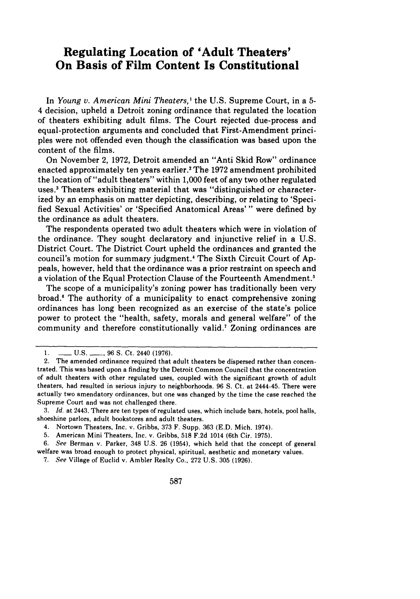## **Regulating Location of 'Adult Theaters' On Basis of Film Content Is Constitutional**

In *Young v. American Mini Theaters*,<sup>1</sup> the U.S. Supreme Court, in a 5-4 decision, upheld a Detroit zoning ordinance that regulated the location of theaters exhibiting adult films. The Court rejected due-process and equal-protection arguments and concluded that First-Amendment principles were not offended even though the classification was based upon the content of the films.

On November 2, 1972, Detroit amended an "Anti Skid Row" ordinance enacted approximately ten years earlier.2 The 1972 amendment prohibited the location of "adult theaters" within 1,000 feet of any two other regulated uses.' Theaters exhibiting material that was "distinguished or characterized by an emphasis on matter depicting, describing, or relating to 'Specified Sexual Activities' or 'Specified Anatomical Areas'" were defined by the ordinance as adult theaters.

The respondents operated two adult theaters which were in violation of the ordinance. They sought declaratory and injunctive relief in a U.S. District Court. The District Court upheld the ordinances and granted the council's motion for summary judgment.' The Sixth Circuit Court of Appeals, however, held that the ordinance was a prior restraint on speech and a violation of the Equal Protection Clause of the Fourteenth Amendment.5

The scope of a municipality's zoning power has traditionally been very broad.<sup>6</sup> The authority of a municipality to enact comprehensive zoning ordinances has long been recognized as an exercise of the state's police power to protect the "health, safety, morals and general welfare" of the community and therefore constitutionally valid.<sup>7</sup> Zoning ordinances are

<sup>1.</sup> **-** U.S. **-** , 96 S. Ct. 2440 (1976).

<sup>2.</sup> The amended ordinance required that adult theaters be dispersed rather than concentrated. This was based upon a finding by the Detroit Common Council that the concentration of adult theaters with other regulated uses, coupled with the significant growth of adult theaters, had resulted in serious injury to neighborhoods. 96 **S.** Ct. at 2444-45. There were actually two amendatory ordinances, but one was changed by the time the case reached the Supreme Court and was not challenged there.

<sup>3.</sup> *Id.* at 2443. There are ten types of regulated uses, which include bars, hotels, pool halls, shoeshine parlors, adult bookstores and adult theaters.

<sup>4.</sup> Nortown Theaters, Inc. v. Gribbs, 373 F. Supp. 363 (E.D. Mich. 1974).

<sup>5.</sup> American Mini Theaters, Inc. v. Gribbs, 518 F.2d 1014 (6th Cir. 1975).

*<sup>6.</sup> See* Berman v. Parker, 348 U.S. 26 (1954), which held that the concept of general welfare was broad enough to protect physical, spiritual, aesthetic and monetary values.

<sup>7.</sup> *See* Village of Euclid v. Ambler Realty Co., 272 U.S. 305 (1926).

<sup>587</sup>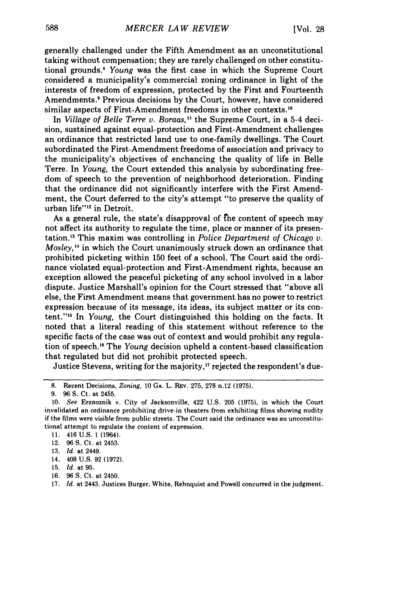generally challenged under the Fifth Amendment as an unconstitutional taking without compensation; they are rarely challenged on other constitutional grounds." *Young* was the first case in which the Supreme Court considered a municipality's commercial zoning ordinance in light of the interests of freedom of expression, protected by the First and Fourteenth Amendments.<sup>9</sup> Previous decisions by the Court, however, have considered similar aspects of First-Amendment freedoms in other contexts.<sup>10</sup>

In *Village of Belle Terre v. Boraas,"* the Supreme Court, in a 5-4 decision, sustained against equal-protection and First-Amendment challenges an ordinance that restricted land use to one-family dwellings. The Court subordinated the First-Amendment freedoms of association and privacy to the municipality's objectives of enchancing the quality of life in Belle Terre. In *Young,* the Court extended this analysis **by** subordinating freedom of speech to the prevention of neighborhood deterioration. Finding that the ordinance did not significantly interfere with the First Amendment, the Court deferred to the city's attempt "to preserve the quality of urban life"<sup>12</sup> in Detroit.

As a general rule, the state's disapproval of the content of speech may not affect its authority to regulate the time, place or manner of its presentation." This maxim was controlling in *Police Department of Chicago v. Mosley,"* in which the Court unanimously struck down an ordinance that prohibited picketing within **150** feet of a school. The Court said the ordinance violated equal-protection and First-Amendment rights, because an exception allowed the peaceful picketing of any school involved in a labor dispute. Justice Marshall's opinion for the Court stressed that "above all else, the First Amendment means that government has no power to restrict expression because of its message, its ideas, its subject matter or its content."<sup>15</sup> In *Young*, the Court distinguished this holding on the facts. It noted that a literal reading of this statement without reference to the specific facts of the case was out of context and would prohibit any regulation of speech.'" The *Young* decision upheld a content-based classification that regulated but did not prohibit protected speech.

Justice Stevens, writing for the majority,<sup>17</sup> rejected the respondent's due-

14. 408 **U.S. 92 (1972).**

**<sup>8.</sup>** Recent Decisions, *Zoning,* **10 GA.** L. Rev. **275, 278** n.12 **(1975).**

**<sup>9. 96</sup> S.** Ct. at 2455.

**<sup>10.</sup>** *See* Erznoznik v. City of Jacksonville, 422 **U.S. 205 (1975),** in which the Court invalidated an ordinance prohibiting drive-in theaters from exhibiting films showing nudity if the films were visible from public streets. The Court said the ordinance was an unconstitutional attempt to regulate the content of expression.

**<sup>11.</sup>** 416 **U.S.** 1 (1964).

<sup>12.</sup> **96 S.** Ct. at 2453.

**<sup>13.</sup>** *Id.* at 2449.

**<sup>15.</sup>** *Id.* at **95.**

**<sup>16. 96</sup> S.** Ct. at 2450.

**<sup>17.</sup>** *Id.* at 2443. Justices Burger, White, Rehnquist and Powell concurred in the judgment.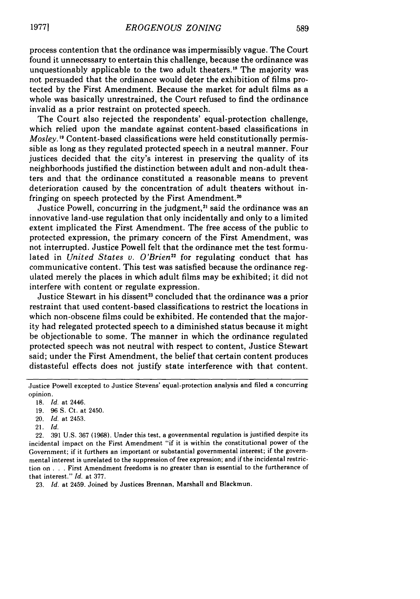process contention that the ordinance was impermissibly vague. The Court found it unnecessary to entertain this challenge, because the ordinance was unquestionably applicable to the two adult theaters."5 The majority was not persuaded that the ordinance would deter the exhibition of films protected by the First Amendment. Because the market for adult films as a whole was basically unrestrained, the Court refused to find the ordinance invalid as a prior restraint on protected speech.

The Court also rejected the respondents' equal-protection challenge, which relied upon the mandate against content-based classifications in *Mosley.*<sup>19</sup> Content-based classifications were held constitutionally permissible as long as they regulated protected speech in a neutral manner. Four justices decided that the city's interest in preserving the quality of its neighborhoods justified the distinction between adult and non-adult theaters and that the ordinance constituted a reasonable means to prevent deterioration caused by the concentration of adult theaters without infringing on speech protected by the First Amendment.<sup>20</sup>

Justice Powell, concurring in the judgment,<sup>21</sup> said the ordinance was an innovative land-use regulation that only incidentally and only to a limited extent implicated the First Amendment. The free access of the public to protected expression, the primary concern of the First Amendment, was not interrupted. Justice Powell felt that the ordinance met the test formulated in *United States v. O'Brien*<sup>22</sup> for regulating conduct that has communicative content. This test was satisfied because the ordinance regulated merely the places in which adult films may be exhibited; it did not interfere with content or regulate expression.

Justice Stewart in his dissent<sup>23</sup> concluded that the ordinance was a prior restraint that used content-based classifications to restrict the locations in which non-obscene films could be exhibited. He contended that the majority had relegated protected speech to a diminished status because it might be objectionable to some. The manner in which the ordinance regulated protected speech was not neutral with respect to content, Justice Stewart said; under the First Amendment, the belief that certain content produces distasteful effects does not justify state interference with that content.

- 19. 96 S. Ct. at 2450.
- 20. *Id.* at 2453.
- 21. *Id.*

22. 391 U.S. 367 (1968). Under this test, a governmental regulation is justified despite its incidental impact on the First Amendment "if it is within the constitutional power of the Government; if it furthers an important or substantial governmental interest; if the governmental interest is unrelated to the suppression of free expression; and if the incidental restriction on . . . First Amendment freedoms is no greater than is essential to the furtherance of that interest." *Id.* at 377.

23. *Id.* at 2459. Joined by Justices Brennan, Marshall and Blackmun.

Justice Powell excepted to Justice Stevens' equal-protection analysis and filed a concurring opinion.

<sup>18.</sup> *Id.* at 2446.